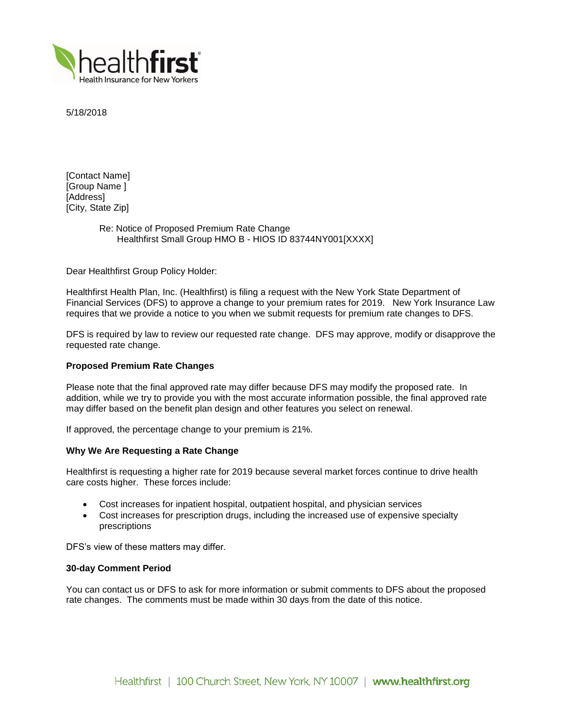

5/18/2018

[Contact Name] [Group Name ] [Address] [City, State Zip]

# Re: Notice of Proposed Premium Rate Change Healthfirst Small Group HMO B - HIOS ID 83744NY001[XXXX]

Dear Healthfirst Group Policy Holder:

Healthfirst Health Plan, Inc. (Healthfirst) is filing a request with the New York State Department of Financial Services (DFS) to approve a change to your premium rates for 2019. New York Insurance Law requires that we provide a notice to you when we submit requests for premium rate changes to DFS.

DFS is required by law to review our requested rate change. DFS may approve, modify or disapprove the requested rate change.

### **Proposed Premium Rate Changes**

Please note that the final approved rate may differ because DFS may modify the proposed rate. In addition, while we try to provide you with the most accurate information possible, the final approved rate may differ based on the benefit plan design and other features you select on renewal.

If approved, the percentage change to your premium is 21%.

## **Why We Are Requesting a Rate Change**

Healthfirst is requesting a higher rate for 2019 because several market forces continue to drive health care costs higher. These forces include:

- Cost increases for inpatient hospital, outpatient hospital, and physician services
- Cost increases for prescription drugs, including the increased use of expensive specialty prescriptions

DFS's view of these matters may differ.

#### **30-day Comment Period**

You can contact us or DFS to ask for more information or submit comments to DFS about the proposed rate changes. The comments must be made within 30 days from the date of this notice.